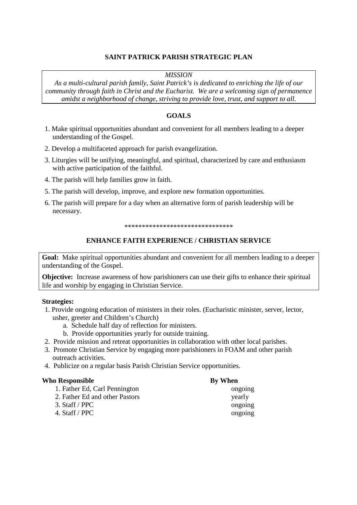## **SAINT PATRICK PARISH STRATEGIC PLAN**

### *MISSION*

*As a multi-cultural parish family, Saint Patrick's is dedicated to enriching the life of our community through faith in Christ and the Eucharist. We are a welcoming sign of permanence amidst a neighborhood of change, striving to provide love, trust, and support to all.* 

## **GOALS**

- 1. Make spiritual opportunities abundant and convenient for all members leading to a deeper understanding of the Gospel.
- 2. Develop a multifaceted approach for parish evangelization.
- 3. Liturgies will be unifying, meaningful, and spiritual, characterized by care and enthusiasm with active participation of the faithful.
- 4. The parish will help families grow in faith.
- 5. The parish will develop, improve, and explore new formation opportunities.
- 6. The parish will prepare for a day when an alternative form of parish leadership will be necessary.

#### \*\*\*\*\*\*\*\*\*\*\*\*\*\*\*\*\*\*\*\*\*\*\*\*\*\*\*\*\*\*\*

#### **ENHANCE FAITH EXPERIENCE / CHRISTIAN SERVICE**

**Goal:** Make spiritual opportunities abundant and convenient for all members leading to a deeper understanding of the Gospel.

**Objective:** Increase awareness of how parishioners can use their gifts to enhance their spiritual life and worship by engaging in Christian Service.

## **Strategies:**

- 1. Provide ongoing education of ministers in their roles. (Eucharistic minister, server, lector, usher, greeter and Children's Church)
	- a. Schedule half day of reflection for ministers.
	- b. Provide opportunities yearly for outside training.
- 2. Provide mission and retreat opportunities in collaboration with other local parishes.
- 3. Promote Christian Service by engaging more parishioners in FOAM and other parish outreach activities.
- 4. Publicize on a regular basis Parish Christian Service opportunities.

#### **Who Responsible By When**

| 1. Father Ed, Carl Pennington  | ongoing |
|--------------------------------|---------|
| 2. Father Ed and other Pastors | yearly  |
| 3. Staff / $PPC$               | ongoing |
| 4. Staff / PPC                 | ongoing |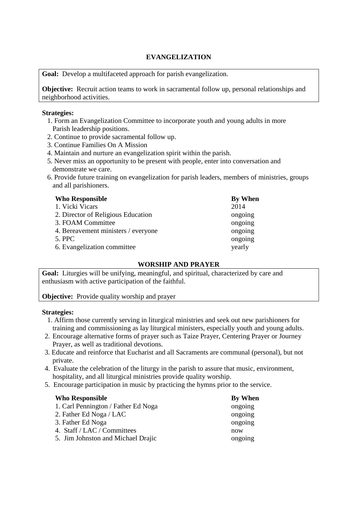# **EVANGELIZATION**

**Goal:** Develop a multifaceted approach for parish evangelization.

**Objective:** Recruit action teams to work in sacramental follow up, personal relationships and neighborhood activities.

## **Strategies:**

- 1. Form an Evangelization Committee to incorporate youth and young adults in more Parish leadership positions.
- 2. Continue to provide sacramental follow up.
- 3. Continue Families On A Mission
- 4. Maintain and nurture an evangelization spirit within the parish.
- 5. Never miss an opportunity to be present with people, enter into conversation and demonstrate we care.
- 6. Provide future training on evangelization for parish leaders, members of ministries, groups and all parishioners.

| <b>Who Responsible</b>              | By When |
|-------------------------------------|---------|
| 1. Vicki Vicars                     | 2014    |
| 2. Director of Religious Education  | ongoing |
| 3. FOAM Committee                   | ongoing |
| 4. Bereavement ministers / everyone | ongoing |
| 5. PPC                              | ongoing |
| 6. Evangelization committee         | yearly  |

# **WORSHIP AND PRAYER**

**Goal:** Liturgies will be unifying, meaningful, and spiritual, characterized by care and enthusiasm with active participation of the faithful.

# **Objective:** Provide quality worship and prayer

## **Strategies:**

- 1. Affirm those currently serving in liturgical ministries and seek out new parishioners for training and commissioning as lay liturgical ministers, especially youth and young adults.
- 2. Encourage alternative forms of prayer such as Taize Prayer, Centering Prayer or Journey Prayer, as well as traditional devotions.
- 3. Educate and reinforce that Eucharist and all Sacraments are communal (personal), but not private.
- 4. Evaluate the celebration of the liturgy in the parish to assure that music, environment, hospitality, and all liturgical ministries provide quality worship.
- 5. Encourage participation in music by practicing the hymns prior to the service.

| <b>Who Responsible</b>              | By When |
|-------------------------------------|---------|
| 1. Carl Pennington / Father Ed Noga | ongoing |
| 2. Father Ed Noga / LAC             | ongoing |
| 3. Father Ed Noga                   | ongoing |
| 4. Staff / LAC / Committees         | now     |
| 5. Jim Johnston and Michael Drajic  | ongoing |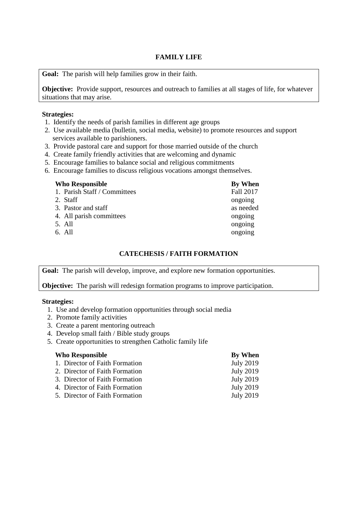## **FAMILY LIFE**

**Goal:** The parish will help families grow in their faith.

**Objective:** Provide support, resources and outreach to families at all stages of life, for whatever situations that may arise.

#### **Strategies:**

- 1. Identify the needs of parish families in different age groups
- 2. Use available media (bulletin, social media, website) to promote resources and support services available to parishioners.
- 3. Provide pastoral care and support for those married outside of the church
- 4. Create family friendly activities that are welcoming and dynamic
- 5. Encourage families to balance social and religious commitments
- 6. Encourage families to discuss religious vocations amongst themselves.

| By When   |
|-----------|
| Fall 2017 |
| ongoing   |
| as needed |
| ongoing   |
| ongoing   |
| ongoing   |
|           |

# **CATECHESIS / FAITH FORMATION**

**Goal:** The parish will develop, improve, and explore new formation opportunities.

**Objective:** The parish will redesign formation programs to improve participation.

## **Strategies:**

- 1. Use and develop formation opportunities through social media
- 2. Promote family activities
- 3. Create a parent mentoring outreach
- 4. Develop small faith / Bible study groups
- 5. Create opportunities to strengthen Catholic family life

| <b>Who Responsible</b>         | By When          |
|--------------------------------|------------------|
| 1. Director of Faith Formation | <b>July 2019</b> |
| 2. Director of Faith Formation | <b>July 2019</b> |
| 3. Director of Faith Formation | <b>July 2019</b> |
| 4. Director of Faith Formation | <b>July 2019</b> |
| 5. Director of Faith Formation | <b>July 2019</b> |